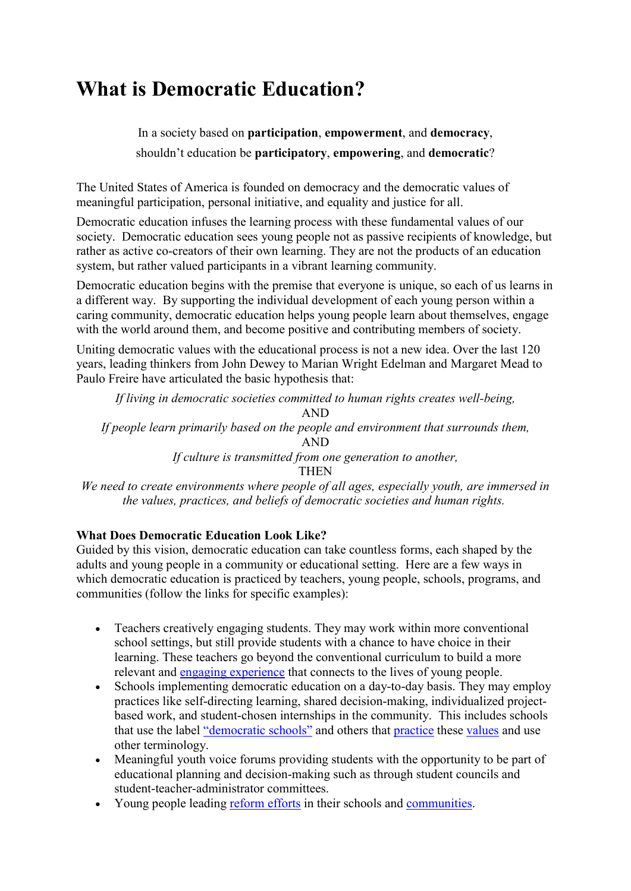# **What is Democratic Education?**

In a society based on **participation**, **empowerment**, and **democracy**, shouldn't education be **participatory**, **empowering**, and **democratic**?

The United States of America is founded on democracy and the democratic values of meaningful participation, personal initiative, and equality and justice for all.

Democratic education infuses the learning process with these fundamental values of our society. Democratic education sees young people not as passive recipients of knowledge, but rather as active co-creators of their own learning. They are not the products of an education system, but rather valued participants in a vibrant learning community.

Democratic education begins with the premise that everyone is unique, so each of us learns in a different way. By supporting the individual development of each young person within a caring community, democratic education helps young people learn about themselves, engage with the world around them, and become positive and contributing members of society.

Uniting democratic values with the educational process is not a new idea. Over the last 120 years, leading thinkers from John Dewey to Marian Wright Edelman and Margaret Mead to Paulo Freire have articulated the basic hypothesis that:

*If living in democratic societies committed to human rights creates well-being,* AND *If people learn primarily based on the people and environment that surrounds them,* AND *If culture is transmitted from one generation to another,* **THEN** 

*We need to create environments where people of all ages, especially youth, are immersed in the values, practices, and beliefs of democratic societies and human rights.*

## **What Does Democratic Education Look Like?**

Guided by this vision, democratic education can take countless forms, each shaped by the adults and young people in a community or educational setting. Here are a few ways in which democratic education is practiced by teachers, young people, schools, programs, and communities (follow the links for specific examples):

- Teachers creatively engaging students. They may work within more conventional school settings, but still provide students with a chance to have choice in their learning. These teachers go beyond the conventional curriculum to build a more relevant and engaging experience that connects to the lives of young people.
- Schools implementing democratic education on a day-to-day basis. They may employ practices like self-directing learning, shared decision-making, individualized projectbased work, and student-chosen internships in the community. This includes schools that use the label "democratic schools" and others that practice these values and use other terminology.
- Meaningful youth voice forums providing students with the opportunity to be part of educational planning and decision-making such as through student councils and student-teacher-administrator committees.
- Young people leading reform efforts in their schools and communities.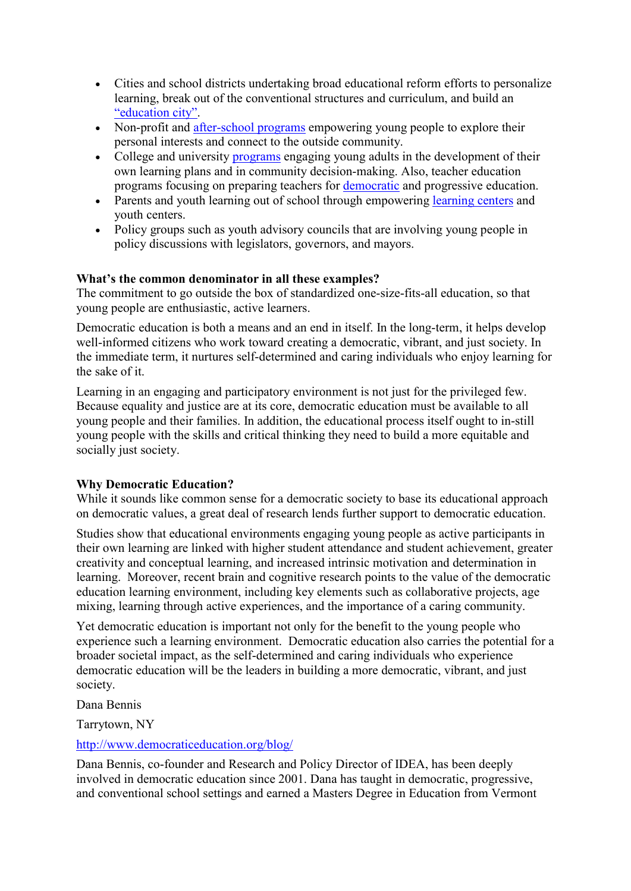- Cities and school districts undertaking broad educational reform efforts to personalize learning, break out of the conventional structures and curriculum, and build an "education city".
- Non-profit and after-school programs empowering young people to explore their personal interests and connect to the outside community.
- College and university programs engaging young adults in the development of their own learning plans and in community decision-making. Also, teacher education programs focusing on preparing teachers for democratic and progressive education.
- Parents and youth learning out of school through empowering learning centers and youth centers.
- Policy groups such as youth advisory councils that are involving young people in policy discussions with legislators, governors, and mayors.

## **What's the common denominator in all these examples?**

The commitment to go outside the box of standardized one-size-fits-all education, so that young people are enthusiastic, active learners.

Democratic education is both a means and an end in itself. In the long-term, it helps develop well-informed citizens who work toward creating a democratic, vibrant, and just society. In the immediate term, it nurtures self-determined and caring individuals who enjoy learning for the sake of it.

Learning in an engaging and participatory environment is not just for the privileged few. Because equality and justice are at its core, democratic education must be available to all young people and their families. In addition, the educational process itself ought to in-still young people with the skills and critical thinking they need to build a more equitable and socially just society.

## **Why Democratic Education?**

While it sounds like common sense for a democratic society to base its educational approach on democratic values, a great deal of research lends further support to democratic education.

Studies show that educational environments engaging young people as active participants in their own learning are linked with higher student attendance and student achievement, greater creativity and conceptual learning, and increased intrinsic motivation and determination in learning. Moreover, recent brain and cognitive research points to the value of the democratic education learning environment, including key elements such as collaborative projects, age mixing, learning through active experiences, and the importance of a caring community.

Yet democratic education is important not only for the benefit to the young people who experience such a learning environment. Democratic education also carries the potential for a broader societal impact, as the self-determined and caring individuals who experience democratic education will be the leaders in building a more democratic, vibrant, and just society.

Dana Bennis

Tarrytown, NY

## http://www.democraticeducation.org/blog/

Dana Bennis, co-founder and Research and Policy Director of IDEA, has been deeply involved in democratic education since 2001. Dana has taught in democratic, progressive, and conventional school settings and earned a Masters Degree in Education from Vermont